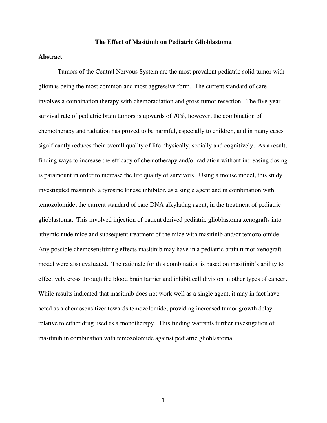#### **The Effect of Masitinib on Pediatric Glioblastoma**

### **Abstract**

Tumors of the Central Nervous System are the most prevalent pediatric solid tumor with gliomas being the most common and most aggressive form. The current standard of care involves a combination therapy with chemoradiation and gross tumor resection. The five-year survival rate of pediatric brain tumors is upwards of 70%, however, the combination of chemotherapy and radiation has proved to be harmful, especially to children, and in many cases significantly reduces their overall quality of life physically, socially and cognitively. As a result, finding ways to increase the efficacy of chemotherapy and/or radiation without increasing dosing is paramount in order to increase the life quality of survivors. Using a mouse model, this study investigated masitinib, a tyrosine kinase inhibitor, as a single agent and in combination with temozolomide, the current standard of care DNA alkylating agent, in the treatment of pediatric glioblastoma. This involved injection of patient derived pediatric glioblastoma xenografts into athymic nude mice and subsequent treatment of the mice with masitinib and/or temozolomide. Any possible chemosensitizing effects masitinib may have in a pediatric brain tumor xenograft model were also evaluated.The rationale for this combination is based on masitinib's ability to effectively cross through the blood brain barrier and inhibit cell division in other types of cancer**.**  While results indicated that masitinib does not work well as a single agent, it may in fact have acted as a chemosensitizer towards temozolomide, providing increased tumor growth delay relative to either drug used as a monotherapy. This finding warrants further investigation of masitinib in combination with temozolomide against pediatric glioblastoma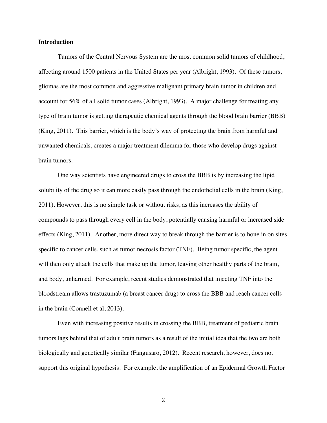### **Introduction**

Tumors of the Central Nervous System are the most common solid tumors of childhood, affecting around 1500 patients in the United States per year (Albright, 1993). Of these tumors, gliomas are the most common and aggressive malignant primary brain tumor in children and account for 56% of all solid tumor cases (Albright, 1993). A major challenge for treating any type of brain tumor is getting therapeutic chemical agents through the blood brain barrier (BBB) (King, 2011). This barrier, which is the body's way of protecting the brain from harmful and unwanted chemicals, creates a major treatment dilemma for those who develop drugs against brain tumors.

One way scientists have engineered drugs to cross the BBB is by increasing the lipid solubility of the drug so it can more easily pass through the endothelial cells in the brain (King, 2011). However, this is no simple task or without risks, as this increases the ability of compounds to pass through every cell in the body, potentially causing harmful or increased side effects (King, 2011). Another, more direct way to break through the barrier is to hone in on sites specific to cancer cells, such as tumor necrosis factor (TNF). Being tumor specific, the agent will then only attack the cells that make up the tumor, leaving other healthy parts of the brain, and body, unharmed. For example, recent studies demonstrated that injecting TNF into the bloodstream allows trastuzumab (a breast cancer drug) to cross the BBB and reach cancer cells in the brain (Connell et al, 2013).

Even with increasing positive results in crossing the BBB, treatment of pediatric brain tumors lags behind that of adult brain tumors as a result of the initial idea that the two are both biologically and genetically similar (Fangusaro, 2012). Recent research, however, does not support this original hypothesis. For example, the amplification of an Epidermal Growth Factor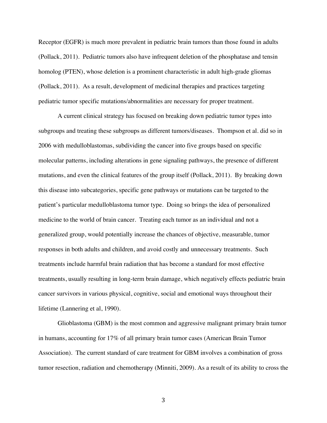Receptor (EGFR) is much more prevalent in pediatric brain tumors than those found in adults (Pollack, 2011). Pediatric tumors also have infrequent deletion of the phosphatase and tensin homolog (PTEN), whose deletion is a prominent characteristic in adult high-grade gliomas (Pollack, 2011). As a result, development of medicinal therapies and practices targeting pediatric tumor specific mutations/abnormalities are necessary for proper treatment.

A current clinical strategy has focused on breaking down pediatric tumor types into subgroups and treating these subgroups as different tumors/diseases. Thompson et al. did so in 2006 with medulloblastomas, subdividing the cancer into five groups based on specific molecular patterns, including alterations in gene signaling pathways, the presence of different mutations, and even the clinical features of the group itself (Pollack, 2011). By breaking down this disease into subcategories, specific gene pathways or mutations can be targeted to the patient's particular medulloblastoma tumor type. Doing so brings the idea of personalized medicine to the world of brain cancer. Treating each tumor as an individual and not a generalized group, would potentially increase the chances of objective, measurable, tumor responses in both adults and children, and avoid costly and unnecessary treatments. Such treatments include harmful brain radiation that has become a standard for most effective treatments, usually resulting in long-term brain damage, which negatively effects pediatric brain cancer survivors in various physical, cognitive, social and emotional ways throughout their lifetime (Lannering et al, 1990).

Glioblastoma (GBM) is the most common and aggressive malignant primary brain tumor in humans, accounting for 17% of all primary brain tumor cases (American Brain Tumor Association). The current standard of care treatment for GBM involves a combination of gross tumor resection, radiation and chemotherapy (Minniti, 2009). As a result of its ability to cross the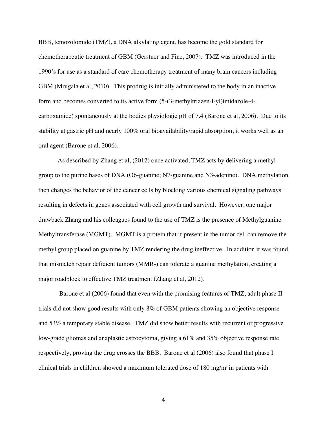BBB, temozolomide (TMZ), a DNA alkylating agent, has become the gold standard for chemotherapeutic treatment of GBM (Gerstner and Fine, 2007). TMZ was introduced in the 1990's for use as a standard of care chemotherapy treatment of many brain cancers including GBM (Mrugala et al, 2010). This prodrug is initially administered to the body in an inactive form and becomes converted to its active form (5-(3-methyltriazen-l-yl)imidazole-4 carboxamide) spontaneously at the bodies physiologic pH of 7.4 (Barone et al, 2006). Due to its stability at gastric pH and nearly 100% oral bioavailability/rapid absorption, it works well as an oral agent (Barone et al, 2006).

As described by Zhang et al, (2012) once activated, TMZ acts by delivering a methyl group to the purine bases of DNA (O6-guanine; N7-guanine and N3-adenine). DNA methylation then changes the behavior of the cancer cells by blocking various chemical signaling pathways resulting in defects in genes associated with cell growth and survival. However, one major drawback Zhang and his colleagues found to the use of TMZ is the presence of Methylguanine Methyltransferase (MGMT). MGMT is a protein that if present in the tumor cell can remove the methyl group placed on guanine by TMZ rendering the drug ineffective. In addition it was found that mismatch repair deficient tumors (MMR-) can tolerate a guanine methylation, creating a major roadblock to effective TMZ treatment (Zhang et al, 2012).

Barone et al (2006) found that even with the promising features of TMZ, adult phase II trials did not show good results with only 8% of GBM patients showing an objective response and 53% a temporary stable disease. TMZ did show better results with recurrent or progressive low-grade gliomas and anaplastic astrocytoma, giving a 61% and 35% objective response rate respectively, proving the drug crosses the BBB. Barone et al (2006) also found that phase I clinical trials in children showed a maximum tolerated dose of 180 mg/m<sup>2</sup> in patients with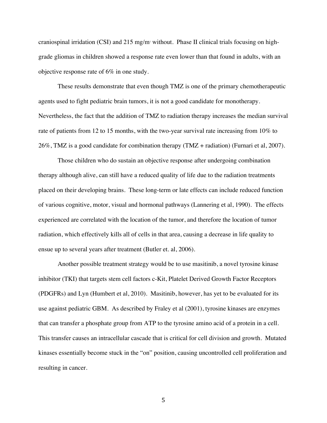craniospinal irridation (CSI) and 215 mg/m<sup>2</sup> without. Phase II clinical trials focusing on highgrade gliomas in children showed a response rate even lower than that found in adults, with an objective response rate of 6% in one study.

These results demonstrate that even though TMZ is one of the primary chemotherapeutic agents used to fight pediatric brain tumors, it is not a good candidate for monotherapy. Nevertheless, the fact that the addition of TMZ to radiation therapy increases the median survival rate of patients from 12 to 15 months, with the two-year survival rate increasing from 10% to 26%, TMZ is a good candidate for combination therapy (TMZ + radiation) (Furnari et al, 2007).

Those children who do sustain an objective response after undergoing combination therapy although alive, can still have a reduced quality of life due to the radiation treatments placed on their developing brains. These long-term or late effects can include reduced function of various cognitive, motor, visual and hormonal pathways (Lannering et al, 1990).The effects experienced are correlated with the location of the tumor, and therefore the location of tumor radiation, which effectively kills all of cells in that area, causing a decrease in life quality to ensue up to several years after treatment (Butler et. al, 2006).

Another possible treatment strategy would be to use masitinib, a novel tyrosine kinase inhibitor (TKI) that targets stem cell factors c-Kit, Platelet Derived Growth Factor Receptors (PDGFRs) and Lyn (Humbert et al, 2010). Masitinib, however, has yet to be evaluated for its use against pediatric GBM. As described by Fraley et al (2001), tyrosine kinases are enzymes that can transfer a phosphate group from ATP to the tyrosine amino acid of a protein in a cell. This transfer causes an intracellular cascade that is critical for cell division and growth. Mutated kinases essentially become stuck in the "on" position, causing uncontrolled cell proliferation and resulting in cancer.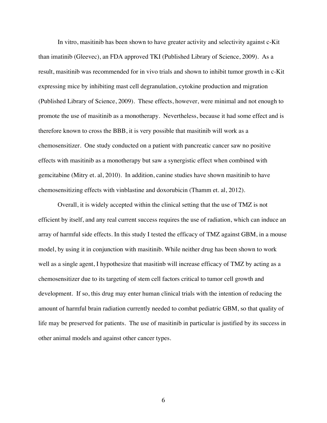In vitro, masitinib has been shown to have greater activity and selectivity against c-Kit than imatinib (Gleevec), an FDA approved TKI (Published Library of Science, 2009). As a result, masitinib was recommended for in vivo trials and shown to inhibit tumor growth in c-Kit expressing mice by inhibiting mast cell degranulation, cytokine production and migration (Published Library of Science, 2009). These effects, however, were minimal and not enough to promote the use of masitinib as a monotherapy. Nevertheless, because it had some effect and is therefore known to cross the BBB, it is very possible that masitinib will work as a chemosensitizer. One study conducted on a patient with pancreatic cancer saw no positive effects with masitinib as a monotherapy but saw a synergistic effect when combined with gemcitabine (Mitry et. al, 2010). In addition, canine studies have shown masitinib to have chemosensitizing effects with vinblastine and doxorubicin (Thamm et. al, 2012).

Overall, it is widely accepted within the clinical setting that the use of TMZ is not efficient by itself, and any real current success requires the use of radiation, which can induce an array of harmful side effects. In this study I tested the efficacy of TMZ against GBM, in a mouse model, by using it in conjunction with masitinib. While neither drug has been shown to work well as a single agent, I hypothesize that masitinb will increase efficacy of TMZ by acting as a chemosensitizer due to its targeting of stem cell factors critical to tumor cell growth and development. If so, this drug may enter human clinical trials with the intention of reducing the amount of harmful brain radiation currently needed to combat pediatric GBM, so that quality of life may be preserved for patients. The use of masitinib in particular is justified by its success in other animal models and against other cancer types.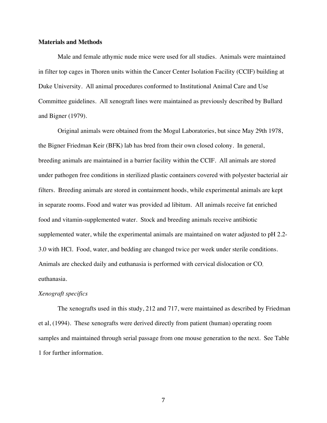### **Materials and Methods**

Male and female athymic nude mice were used for all studies. Animals were maintained in filter top cages in Thoren units within the Cancer Center Isolation Facility (CCIF) building at Duke University. All animal procedures conformed to Institutional Animal Care and Use Committee guidelines. All xenograft lines were maintained as previously described by Bullard and Bigner (1979).

Original animals were obtained from the Mogul Laboratories, but since May 29th 1978, the Bigner Friedman Keir (BFK) lab has bred from their own closed colony. In general, breeding animals are maintained in a barrier facility within the CCIF. All animals are stored under pathogen free conditions in sterilized plastic containers covered with polyester bacterial air filters. Breeding animals are stored in containment hoods, while experimental animals are kept in separate rooms. Food and water was provided ad libitum. All animals receive fat enriched food and vitamin-supplemented water. Stock and breeding animals receive antibiotic supplemented water, while the experimental animals are maintained on water adjusted to pH 2.2- 3.0 with HCl. Food, water, and bedding are changed twice per week under sterile conditions. Animals are checked daily and euthanasia is performed with cervical dislocation or CO<sub>2</sub> euthanasia.

### *Xenograft specifics*

The xenografts used in this study, 212 and 717, were maintained as described by Friedman et al, (1994). These xenografts were derived directly from patient (human) operating room samples and maintained through serial passage from one mouse generation to the next. See Table 1 for further information.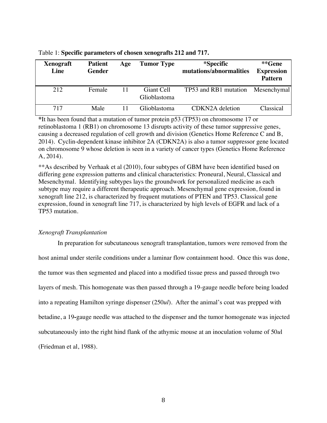| <b>Xenograft</b><br>Line | <b>Patient</b><br><b>Gender</b> | Age | <b>Tumor Type</b>          | *Specific<br>mutations/abnormalities | **Gene<br><b>Expression</b><br><b>Pattern</b> |
|--------------------------|---------------------------------|-----|----------------------------|--------------------------------------|-----------------------------------------------|
| 212                      | Female                          |     | Giant Cell<br>Glioblastoma | TP53 and RB1 mutation                | Mesenchymal                                   |
| 717                      | Male                            |     | Glioblastoma               | CDKN2A deletion                      | Classical                                     |

Table 1: **Specific parameters of chosen xenografts 212 and 717.**

**\***It has been found that a mutation of tumor protein p53 (TP53) on chromosome 17 or retinoblastoma 1 (RB1) on chromosome 13 disrupts activity of these tumor suppressive genes, causing a decreased regulation of cell growth and division (Genetics Home Reference C and B, 2014). Cyclin-dependent kinase inhibitor 2A (CDKN2A) is also a tumor suppressor gene located on chromosome 9 whose deletion is seen in a variety of cancer types (Genetics Home Reference A, 2014).

\*\*As described by Verhaak et al (2010), four subtypes of GBM have been identified based on differing gene expression patterns and clinical characteristics: Proneural, Neural, Classical and Mesenchymal. Identifying subtypes lays the groundwork for personalized medicine as each subtype may require a different therapeutic approach. Mesenchymal gene expression, found in xenograft line 212, is characterized by frequent mutations of PTEN and TP53. Classical gene expression, found in xenograft line 717, is characterized by high levels of EGFR and lack of a TP53 mutation.

## *Xenograft Transplantation*

In preparation for subcutaneous xenograft transplantation, tumors were removed from the host animal under sterile conditions under a laminar flow containment hood. Once this was done, the tumor was then segmented and placed into a modified tissue press and passed through two layers of mesh. This homogenate was then passed through a 19-gauge needle before being loaded into a repeating Hamilton syringe dispenser (250*ul*). After the animal's coat was prepped with betadine, a 19**-**gauge needle was attached to the dispenser and the tumor homogenate was injected subcutaneously into the right hind flank of the athymic mouse at an inoculation volume of 50*u*l (Friedman et al, 1988).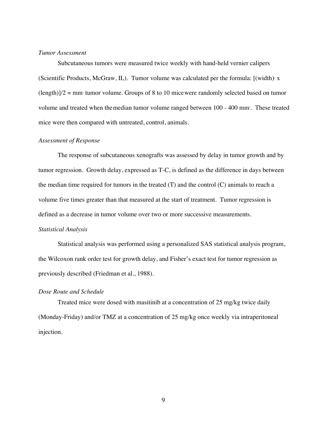## *Tumor Assessment*

Subcutaneous tumors were measured twice weekly with hand-held vernier calipers (Scientific Products, McGraw, IL). Tumor volume was calculated per the formula:  $[(width)*x$  $(\text{length})/2 = \text{mm}$  tumor volume. Groups of 8 to 10 mice were randomly selected based on tumor volume and treated when themedian tumor volume ranged between 100 - 400 mm<sup>3</sup>. These treated mice were then compared with untreated, control, animals.

### *Assessment of Response*

The response of subcutaneous xenografts was assessed by delay in tumor growth and by tumor regression. Growth delay, expressed as T-C, is defined as the difference in days between the median time required for tumors in the treated (T) and the control (C) animals to reach a volume five times greater than that measured at the start of treatment. Tumor regression is defined as a decrease in tumor volume over two or more successive measurements.

## *Statistical Analysis*

Statistical analysis was performed using a personalized SAS statistical analysis program, the Wilcoxon rank order test for growth delay, and Fisher's exact test for tumor regression as previously described (Friedman et al., 1988).

## *Dose Route and Schedule*

Treated mice were dosed with masitinib at a concentration of 25 mg/kg twice daily (Monday-Friday) and/or TMZ at a concentration of 25 mg/kg once weekly via intraperitoneal injection.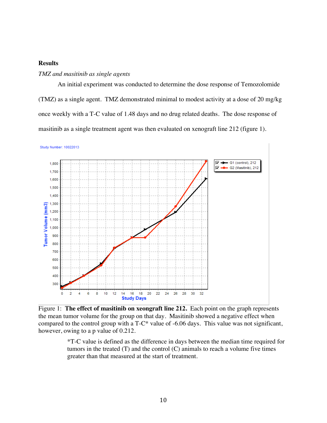## **Results**

## *TMZ and masitinib as single agents*

An initial experiment was conducted to determine the dose response of Temozolomide (TMZ) as a single agent. TMZ demonstrated minimal to modest activity at a dose of 20 mg/kg once weekly with a T-C value of 1.48 days and no drug related deaths. The dose response of masitinib as a single treatment agent was then evaluated on xenograft line 212 (figure 1).

Study Number: 10022013 ⊽→ - G1 (control), 212 1,800 G2 (Masitinib), 212 ⊽ 1,700 1,600 1,500 1.400 1,300 Tumor Volume (mm3) 1,200 1,100 1,000 900 800 700 600 500 400 300  $\frac{1}{2}$  $10$  $12$  $16$  $18$  $20$  $\overline{2}2$  $\overline{24}$  $\overline{26}$  $\overline{28}$ 30  $32$  $\mathbf 0$ 6 8  $14$ **Study Days** 

Figure 1: **The effect of masitinib on xeongraft line 212.** Each point on the graph represents the mean tumor volume for the group on that day. Masitinib showed a negative effect when compared to the control group with a T-C\* value of -6.06 days. This value was not significant, however, owing to a p value of 0.212.

\*T-C value is defined as the difference in days between the median time required for tumors in the treated (T) and the control (C) animals to reach a volume five times greater than that measured at the start of treatment.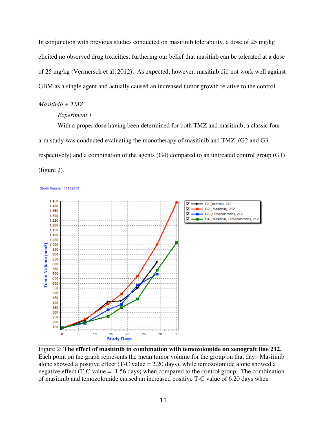In conjunction with previous studies conducted on masitinib tolerability, a dose of 25 mg/kg elicited no observed drug toxicities; furthering our belief that masitinb can be tolerated at a dose of 25 mg/kg (Vermersch et al, 2012). As expected, however, masitinb did not work well against GBM as a single agent and actually caused an increased tumor growth relative to the control

#### *Masitinib + TMZ*

## *Experiment 1*

With a proper dose having been determined for both TMZ and masitinib, a classic fourarm study was conducted evaluating the monotherapy of masitinib and TMZ (G2 and G3 respectively) and a combination of the agents (G4) compared to an untreated control group (G1) (figure 2).



Figure 2: **The effect of masitinib in combination with temozolomide on xenograft line 212.**  Each point on the graph represents the mean tumor volume for the group on that day. Masitinib alone showed a positive effect (T-C value = 2.20 days), while temozolomide alone showed a negative effect  $(T-C value = -1.56 days)$  when compared to the control group. The combination of masitinib and temozolomide caused an increased positive T-C value of 6.20 days when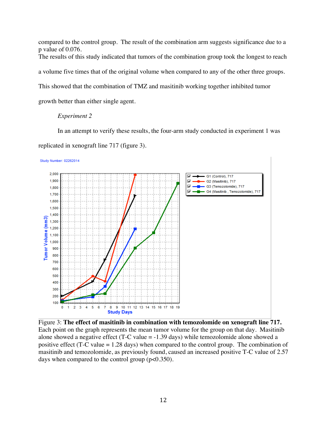compared to the control group. The result of the combination arm suggests significance due to a p value of 0.076. The results of this study indicated that tumors of the combination group took the longest to reach a volume five times that of the original volume when compared to any of the other three groups. This showed that the combination of TMZ and masitinib working together inhibited tumor growth better than either single agent.

# *Experiment 2*

In an attempt to verify these results, the four-arm study conducted in experiment 1 was replicated in xenograft line 717 (figure 3).

Study Number: 02262014



Figure 3: **The effect of masitinib in combination with temozolomide on xenograft line 717.** Each point on the graph represents the mean tumor volume for the group on that day. Masitinib alone showed a negative effect (T-C value = -1.39 days) while temozolomide alone showed a positive effect (T-C value = 1.28 days) when compared to the control group. The combination of masitinib and temozolomide, as previously found, caused an increased positive T-C value of 2.57 days when compared to the control group (p<0.350).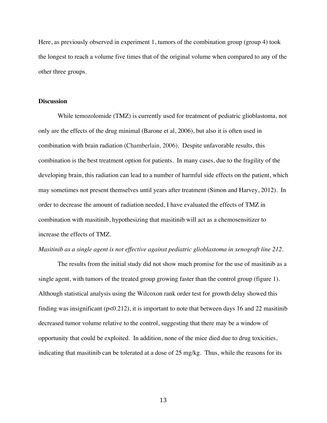Here, as previously observed in experiment 1, tumors of the combination group (group 4) took the longest to reach a volume five times that of the original volume when compared to any of the other three groups.

### **Discussion**

While temozolomide (TMZ) is currently used for treatment of pediatric glioblastoma, not only are the effects of the drug minimal (Barone et al, 2006), but also it is often used in combination with brain radiation (Chamberlain, 2006). Despite unfavorable results, this combination is the best treatment option for patients. In many cases, due to the fragility of the developing brain, this radiation can lead to a number of harmful side effects on the patient, which may sometimes not present themselves until years after treatment (Simon and Harvey, 2012). In order to decrease the amount of radiation needed, I have evaluated the effects of TMZ in combination with masitinib, hypothesizing that masitinib will act as a chemosensitizer to increase the effects of TMZ.

### *Masitinib as a single agent is not effective against pediatric glioblastoma in xenograft line 212.*

The results from the initial study did not show much promise for the use of masitinib as a single agent, with tumors of the treated group growing faster than the control group (figure 1). Although statistical analysis using the Wilcoxon rank order test for growth delay showed this finding was insignificant ( $p<0.212$ ), it is important to note that between days 16 and 22 masitinib decreased tumor volume relative to the control, suggesting that there may be a window of opportunity that could be exploited. In addition, none of the mice died due to drug toxicities, indicating that masitinib can be tolerated at a dose of 25 mg/kg. Thus, while the reasons for its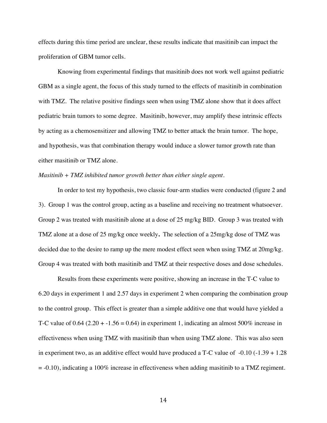effects during this time period are unclear, these results indicate that masitinib can impact the proliferation of GBM tumor cells.

Knowing from experimental findings that masitinib does not work well against pediatric GBM as a single agent, the focus of this study turned to the effects of masitinib in combination with TMZ. The relative positive findings seen when using TMZ alone show that it does affect pediatric brain tumors to some degree. Masitinib, however, may amplify these intrinsic effects by acting as a chemosensitizer and allowing TMZ to better attack the brain tumor. The hope, and hypothesis, was that combination therapy would induce a slower tumor growth rate than either masitinib or TMZ alone.

## *Masitinib + TMZ inhibited tumor growth better than either single agent.*

In order to test my hypothesis, two classic four-arm studies were conducted (figure 2 and 3). Group 1 was the control group, acting as a baseline and receiving no treatment whatsoever. Group 2 was treated with masitinib alone at a dose of 25 mg/kg BID. Group 3 was treated with TMZ alone at a dose of 25 mg/kg once weekly**.** The selection of a 25mg/kg dose of TMZ was decided due to the desire to ramp up the mere modest effect seen when using TMZ at 20mg/kg. Group 4 was treated with both masitinib and TMZ at their respective doses and dose schedules.

Results from these experiments were positive, showing an increase in the T-C value to 6.20 days in experiment 1 and 2.57 days in experiment 2 when comparing the combination group to the control group. This effect is greater than a simple additive one that would have yielded a T-C value of  $0.64$  (2.20 + -1.56 = 0.64) in experiment 1, indicating an almost 500% increase in effectiveness when using TMZ with masitinib than when using TMZ alone. This was also seen in experiment two, as an additive effect would have produced a T-C value of -0.10 (-1.39 + 1.28  $=$  -0.10), indicating a 100% increase in effectiveness when adding masitinib to a TMZ regiment.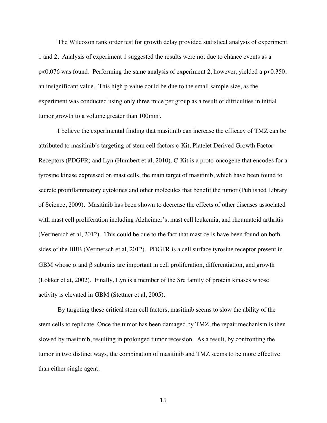The Wilcoxon rank order test for growth delay provided statistical analysis of experiment 1 and 2. Analysis of experiment 1 suggested the results were not due to chance events as a p<0.076 was found. Performing the same analysis of experiment 2, however, yielded a p<0.350, an insignificant value. This high p value could be due to the small sample size, as the experiment was conducted using only three mice per group as a result of difficulties in initial tumor growth to a volume greater than  $100\mathrm{mm}$  .

I believe the experimental finding that masitinib can increase the efficacy of TMZ can be attributed to masitinib's targeting of stem cell factors c-Kit, Platelet Derived Growth Factor Receptors (PDGFR) and Lyn (Humbert et al, 2010). C-Kit is a proto-oncogene that encodes for a tyrosine kinase expressed on mast cells, the main target of masitinib, which have been found to secrete proinflammatory cytokines and other molecules that benefit the tumor (Published Library of Science, 2009). Masitinib has been shown to decrease the effects of other diseases associated with mast cell proliferation including Alzheimer's, mast cell leukemia, and rheumatoid arthritis (Vermersch et al, 2012). This could be due to the fact that mast cells have been found on both sides of the BBB (Vermersch et al, 2012). PDGFR is a cell surface tyrosine receptor present in GBM whose  $\alpha$  and  $\beta$  subunits are important in cell proliferation, differentiation, and growth (Lokker et at, 2002). Finally, Lyn is a member of the Src family of protein kinases whose activity is elevated in GBM (Stettner et al, 2005).

By targeting these critical stem cell factors, masitinib seems to slow the ability of the stem cells to replicate. Once the tumor has been damaged by TMZ, the repair mechanism is then slowed by masitinib, resulting in prolonged tumor recession. As a result, by confronting the tumor in two distinct ways, the combination of masitinib and TMZ seems to be more effective than either single agent.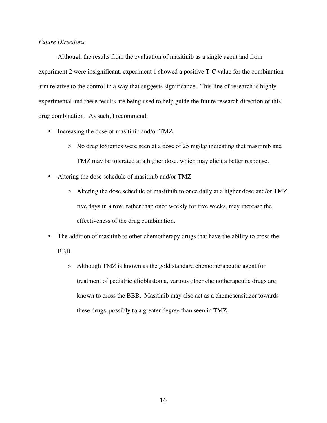## *Future Directions*

Although the results from the evaluation of masitinib as a single agent and from experiment 2 were insignificant, experiment 1 showed a positive T-C value for the combination arm relative to the control in a way that suggests significance. This line of research is highly experimental and these results are being used to help guide the future research direction of this drug combination. As such, I recommend:

- Increasing the dose of masitinib and/or TMZ
	- o No drug toxicities were seen at a dose of 25 mg/kg indicating that masitinib and TMZ may be tolerated at a higher dose, which may elicit a better response.
- Altering the dose schedule of masitinib and/or TMZ
	- o Altering the dose schedule of masitinib to once daily at a higher dose and/or TMZ five days in a row, rather than once weekly for five weeks, may increase the effectiveness of the drug combination.
- The addition of masitinb to other chemotherapy drugs that have the ability to cross the **BBB** 
	- o Although TMZ is known as the gold standard chemotherapeutic agent for treatment of pediatric glioblastoma, various other chemotherapeutic drugs are known to cross the BBB. Masitinib may also act as a chemosensitizer towards these drugs, possibly to a greater degree than seen in TMZ.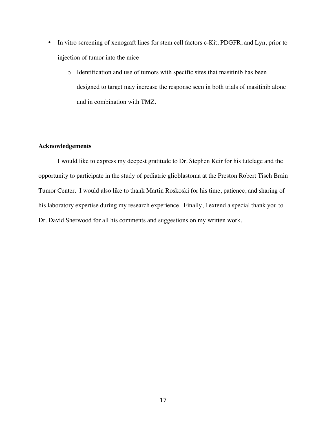- In vitro screening of xenograft lines for stem cell factors c-Kit, PDGFR, and Lyn, prior to injection of tumor into the mice
	- o Identification and use of tumors with specific sites that masitinib has been designed to target may increase the response seen in both trials of masitinib alone and in combination with TMZ.

## **Acknowledgements**

I would like to express my deepest gratitude to Dr. Stephen Keir for his tutelage and the opportunity to participate in the study of pediatric glioblastoma at the Preston Robert Tisch Brain Tumor Center. I would also like to thank Martin Roskoski for his time, patience, and sharing of his laboratory expertise during my research experience. Finally, I extend a special thank you to Dr. David Sherwood for all his comments and suggestions on my written work.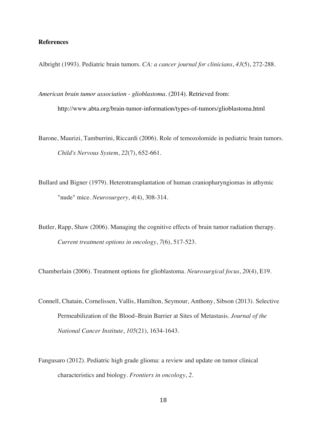## **References**

Albright (1993). Pediatric brain tumors. *CA: a cancer journal for clinicians*, *43*(5), 272-288.

- *American brain tumor association - glioblastoma*. (2014). Retrieved from: http://www.abta.org/brain-tumor-information/types-of-tumors/glioblastoma.html
- Barone, Maurizi, Tamburrini, Riccardi (2006). Role of temozolomide in pediatric brain tumors. *Child's Nervous System*, *22*(7), 652-661.
- Bullard and Bigner (1979). Heterotransplantation of human craniopharyngiomas in athymic "nude" mice. *Neurosurgery*, *4*(4), 308-314.
- Butler, Rapp, Shaw (2006). Managing the cognitive effects of brain tumor radiation therapy. *Current treatment options in oncology*, *7*(6), 517-523.

Chamberlain (2006). Treatment options for glioblastoma. *Neurosurgical focus*, *20*(4), E19.

- Connell, Chatain, Cornelissen, Vallis, Hamilton, Seymour, Anthony, Sibson (2013). Selective Permeabilization of the Blood–Brain Barrier at Sites of Metastasis. *Journal of the National Cancer Institute*, *105*(21), 1634-1643.
- Fangusaro (2012). Pediatric high grade glioma: a review and update on tumor clinical characteristics and biology. *Frontiers in oncology*, *2*.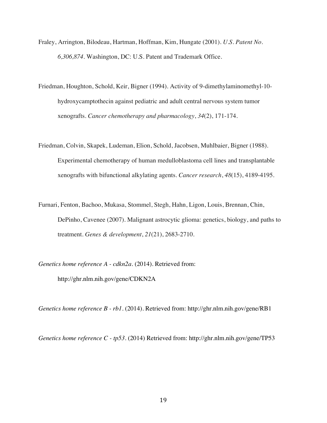- Fraley, Arrington, Bilodeau, Hartman, Hoffman, Kim, Hungate (2001). *U.S. Patent No. 6,306,874*. Washington, DC: U.S. Patent and Trademark Office.
- Friedman, Houghton, Schold, Keir, Bigner (1994). Activity of 9-dimethylaminomethyl-10 hydroxycamptothecin against pediatric and adult central nervous system tumor xenografts. *Cancer chemotherapy and pharmacology*, *34*(2), 171-174.
- Friedman, Colvin, Skapek, Ludeman, Elion, Schold, Jacobsen, Muhlbaier, Bigner (1988). Experimental chemotherapy of human medulloblastoma cell lines and transplantable xenografts with bifunctional alkylating agents. *Cancer research*, *48*(15), 4189-4195.
- Furnari, Fenton, Bachoo, Mukasa, Stommel, Stegh, Hahn, Ligon, Louis, Brennan, Chin, DePinho, Cavenee (2007). Malignant astrocytic glioma: genetics, biology, and paths to treatment. *Genes & development*, *21*(21), 2683-2710.

*Genetics home reference A - cdkn2a*. (2014). Retrieved from:

http://ghr.nlm.nih.gov/gene/CDKN2A

*Genetics home reference B - rb1*. (2014). Retrieved from: http://ghr.nlm.nih.gov/gene/RB1

*Genetics home reference C - tp53*. (2014) Retrieved from: http://ghr.nlm.nih.gov/gene/TP53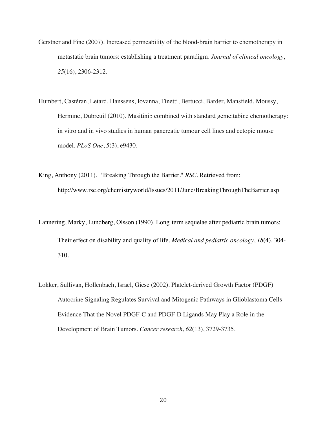- Gerstner and Fine (2007). Increased permeability of the blood-brain barrier to chemotherapy in metastatic brain tumors: establishing a treatment paradigm. *Journal of clinical oncology*, *25*(16), 2306-2312.
- Humbert, Castéran, Letard, Hanssens, Iovanna, Finetti, Bertucci, Barder, Mansfield, Moussy, Hermine, Dubreuil (2010). Masitinib combined with standard gemcitabine chemotherapy: in vitro and in vivo studies in human pancreatic tumour cell lines and ectopic mouse model. *PLoS One*, *5*(3), e9430.
- King, Anthony (2011). "Breaking Through the Barrier." *RSC*. Retrieved from: http://www.rsc.org/chemistryworld/Issues/2011/June/BreakingThroughTheBarrier.asp
- Lannering, Marky, Lundberg, Olsson (1990). Long-term sequelae after pediatric brain tumors: Their effect on disability and quality of life. *Medical and pediatric oncology*, *18*(4), 304- 310.
- Lokker, Sullivan, Hollenbach, Israel, Giese (2002). Platelet-derived Growth Factor (PDGF) Autocrine Signaling Regulates Survival and Mitogenic Pathways in Glioblastoma Cells Evidence That the Novel PDGF-C and PDGF-D Ligands May Play a Role in the Development of Brain Tumors. *Cancer research*, *62*(13), 3729-3735.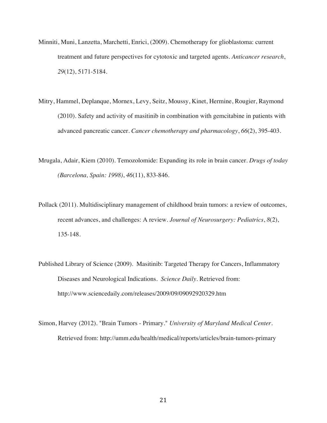- Minniti, Muni, Lanzetta, Marchetti, Enrici, (2009). Chemotherapy for glioblastoma: current treatment and future perspectives for cytotoxic and targeted agents. *Anticancer research*, *29*(12), 5171-5184.
- Mitry, Hammel, Deplanque, Mornex, Levy, Seitz, Moussy, Kinet, Hermine, Rougier, Raymond (2010). Safety and activity of masitinib in combination with gemcitabine in patients with advanced pancreatic cancer. *Cancer chemotherapy and pharmacology*, *66*(2), 395-403.
- Mrugala, Adair, Kiem (2010). Temozolomide: Expanding its role in brain cancer. *Drugs of today (Barcelona, Spain: 1998)*, *46*(11), 833-846.
- Pollack (2011). Multidisciplinary management of childhood brain tumors: a review of outcomes, recent advances, and challenges: A review. *Journal of Neurosurgery: Pediatrics*, *8*(2), 135-148.
- Published Library of Science (2009). Masitinib: Targeted Therapy for Cancers, Inflammatory Diseases and Neurological Indications. *Science Daily*. Retrieved from: http://www.sciencedaily.com/releases/2009/09/09092920329.htm
- Simon, Harvey (2012). "Brain Tumors Primary." *University of Maryland Medical Center*. Retrieved from: http://umm.edu/health/medical/reports/articles/brain-tumors-primary